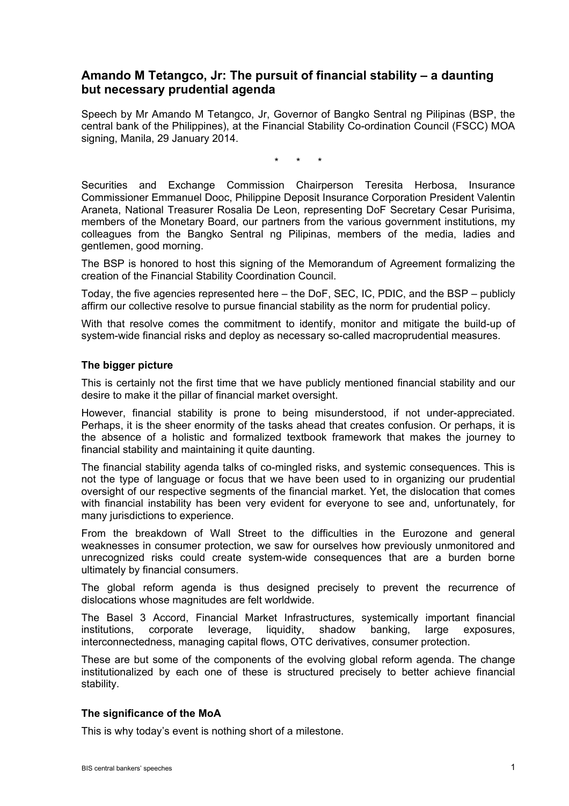## **Amando M Tetangco, Jr: The pursuit of financial stability – a daunting but necessary prudential agenda**

Speech by Mr Amando M Tetangco, Jr, Governor of Bangko Sentral ng Pilipinas (BSP, the central bank of the Philippines), at the Financial Stability Co-ordination Council (FSCC) MOA signing, Manila, 29 January 2014.

\* \* \*

Securities and Exchange Commission Chairperson Teresita Herbosa, Insurance Commissioner Emmanuel Dooc, Philippine Deposit Insurance Corporation President Valentin Araneta, National Treasurer Rosalia De Leon, representing DoF Secretary Cesar Purisima, members of the Monetary Board, our partners from the various government institutions, my colleagues from the Bangko Sentral ng Pilipinas, members of the media, ladies and gentlemen, good morning.

The BSP is honored to host this signing of the Memorandum of Agreement formalizing the creation of the Financial Stability Coordination Council.

Today, the five agencies represented here – the DoF, SEC, IC, PDIC, and the BSP – publicly affirm our collective resolve to pursue financial stability as the norm for prudential policy.

With that resolve comes the commitment to identify, monitor and mitigate the build-up of system-wide financial risks and deploy as necessary so-called macroprudential measures.

## **The bigger picture**

This is certainly not the first time that we have publicly mentioned financial stability and our desire to make it the pillar of financial market oversight.

However, financial stability is prone to being misunderstood, if not under-appreciated. Perhaps, it is the sheer enormity of the tasks ahead that creates confusion. Or perhaps, it is the absence of a holistic and formalized textbook framework that makes the journey to financial stability and maintaining it quite daunting.

The financial stability agenda talks of co-mingled risks, and systemic consequences. This is not the type of language or focus that we have been used to in organizing our prudential oversight of our respective segments of the financial market. Yet, the dislocation that comes with financial instability has been very evident for everyone to see and, unfortunately, for many jurisdictions to experience.

From the breakdown of Wall Street to the difficulties in the Eurozone and general weaknesses in consumer protection, we saw for ourselves how previously unmonitored and unrecognized risks could create system-wide consequences that are a burden borne ultimately by financial consumers.

The global reform agenda is thus designed precisely to prevent the recurrence of dislocations whose magnitudes are felt worldwide.

The Basel 3 Accord, Financial Market Infrastructures, systemically important financial institutions, corporate leverage, liquidity, shadow banking, large exposures, interconnectedness, managing capital flows, OTC derivatives, consumer protection.

These are but some of the components of the evolving global reform agenda. The change institutionalized by each one of these is structured precisely to better achieve financial stability.

## **The significance of the MoA**

This is why today's event is nothing short of a milestone.